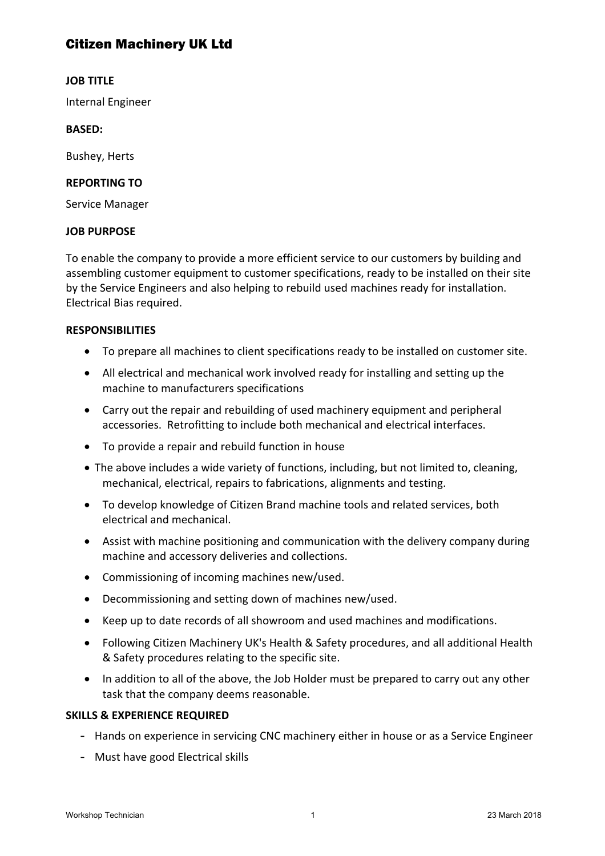# Citizen Machinery UK Ltd

### **JOB TITLE**

Internal Engineer

### **BASED:**

**Bushey, Herts** 

## **REPORTING TO**

Service Manager

#### **JOB PURPOSE**

To enable the company to provide a more efficient service to our customers by building and assembling customer equipment to customer specifications, ready to be installed on their site by the Service Engineers and also helping to rebuild used machines ready for installation. Electrical Bias required.

#### **RESPONSIBILITIES**

- To prepare all machines to client specifications ready to be installed on customer site.
- All electrical and mechanical work involved ready for installing and setting up the machine to manufacturers specifications
- Carry out the repair and rebuilding of used machinery equipment and peripheral accessories. Retrofitting to include both mechanical and electrical interfaces.
- To provide a repair and rebuild function in house
- The above includes a wide variety of functions, including, but not limited to, cleaning, mechanical, electrical, repairs to fabrications, alignments and testing.
- To develop knowledge of Citizen Brand machine tools and related services, both electrical and mechanical.
- Assist with machine positioning and communication with the delivery company during machine and accessory deliveries and collections.
- Commissioning of incoming machines new/used.
- Decommissioning and setting down of machines new/used.
- Keep up to date records of all showroom and used machines and modifications.
- Following Citizen Machinery UK's Health & Safety procedures, and all additional Health & Safety procedures relating to the specific site.
- In addition to all of the above, the Job Holder must be prepared to carry out any other task that the company deems reasonable.

#### **SKILLS & EXPERIENCE REQUIRED**

- Hands on experience in servicing CNC machinery either in house or as a Service Engineer
- Must have good Electrical skills